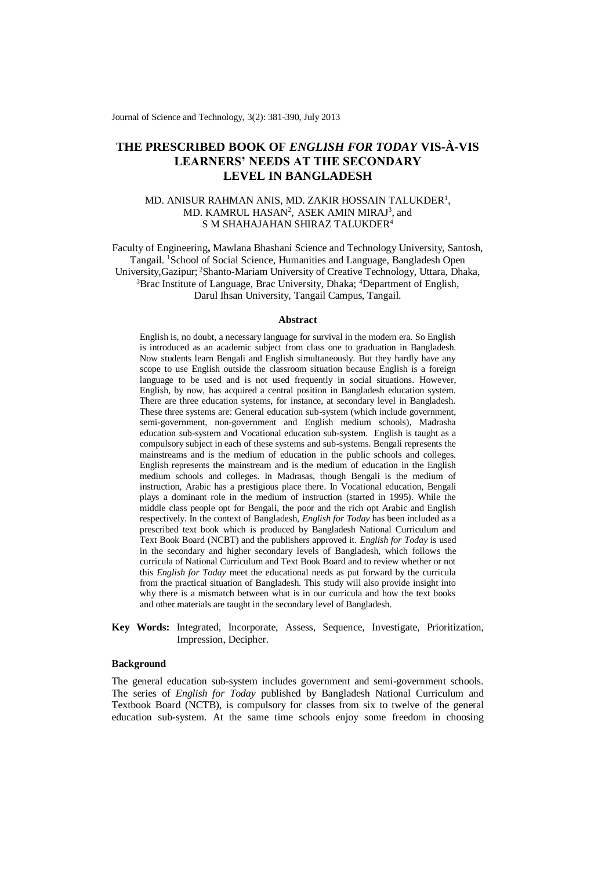Journal of Science and Technology, 3(2): 381-390, July 2013

# **THE PRESCRIBED BOOK OF** *ENGLISH FOR TODAY* **VIS-À-VIS LEARNERS' NEEDS AT THE SECONDARY LEVEL IN BANGLADESH**

## MD. ANISUR RAHMAN ANIS, MD. ZAKIR HOSSAIN TALUKDER<sup>1</sup>, MD. KAMRUL HASAN<sup>2</sup>, ASEK AMIN MIRAJ<sup>3</sup>, and S M SHAHAJAHAN SHIRAZ TALUKDER<sup>4</sup>

Faculty of Engineering**,** Mawlana Bhashani Science and Technology University, Santosh, Tangail. <sup>1</sup>School of Social Science, Humanities and Language, Bangladesh Open University,Gazipur; <sup>2</sup>Shanto-Mariam University of Creative Technology, Uttara, Dhaka, <sup>3</sup>Brac Institute of Language, Brac University, Dhaka; <sup>4</sup>Department of English, Darul Ihsan University, Tangail Campus, Tangail.

#### **Abstract**

English is, no doubt, a necessary language for survival in the modern era. So English is introduced as an academic subject from class one to graduation in Bangladesh. Now students learn Bengali and English simultaneously. But they hardly have any scope to use English outside the classroom situation because English is a foreign language to be used and is not used frequently in social situations. However, English, by now, has acquired a central position in Bangladesh education system. There are three education systems, for instance, at secondary level in Bangladesh. These three systems are: General education sub-system (which include government, semi-government, non-government and English medium schools), Madrasha education sub-system and Vocational education sub-system. English is taught as a compulsory subject in each of these systems and sub-systems. Bengali represents the mainstreams and is the medium of education in the public schools and colleges. English represents the mainstream and is the medium of education in the English medium schools and colleges. In Madrasas, though Bengali is the medium of instruction, Arabic has a prestigious place there. In Vocational education, Bengali plays a dominant role in the medium of instruction (started in 1995). While the middle class people opt for Bengali, the poor and the rich opt Arabic and English respectively. In the context of Bangladesh, *English for Today* has been included as a prescribed text book which is produced by Bangladesh National Curriculum and Text Book Board (NCBT) and the publishers approved it. *English for Today* is used in the secondary and higher secondary levels of Bangladesh, which follows the curricula of National Curriculum and Text Book Board and to review whether or not this *English for Today* meet the educational needs as put forward by the curricula from the practical situation of Bangladesh. This study will also provide insight into why there is a mismatch between what is in our curricula and how the text books and other materials are taught in the secondary level of Bangladesh.

**Key Words:** Integrated, Incorporate, Assess, Sequence, Investigate, Prioritization, Impression, Decipher.

### **Background**

The general education sub-system includes government and semi-government schools. The series of *English for Today* published by Bangladesh National Curriculum and Textbook Board (NCTB), is compulsory for classes from six to twelve of the general education sub-system. At the same time schools enjoy some freedom in choosing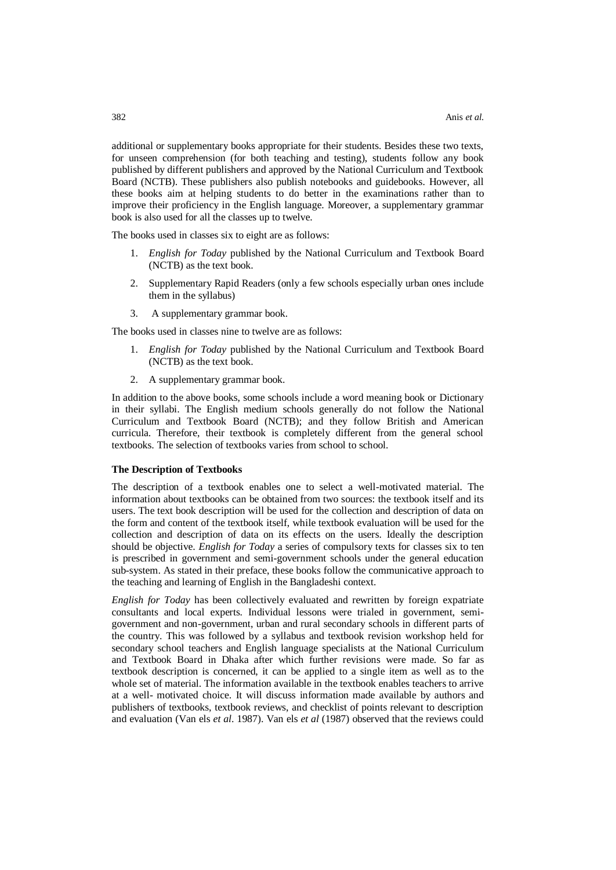additional or supplementary books appropriate for their students. Besides these two texts, for unseen comprehension (for both teaching and testing), students follow any book published by different publishers and approved by the National Curriculum and Textbook Board (NCTB). These publishers also publish notebooks and guidebooks. However, all these books aim at helping students to do better in the examinations rather than to improve their proficiency in the English language. Moreover, a supplementary grammar book is also used for all the classes up to twelve.

The books used in classes six to eight are as follows:

- 1. *English for Today* published by the National Curriculum and Textbook Board (NCTB) as the text book.
- 2. Supplementary Rapid Readers (only a few schools especially urban ones include them in the syllabus)
- 3. A supplementary grammar book.

The books used in classes nine to twelve are as follows:

- 1. *English for Today* published by the National Curriculum and Textbook Board (NCTB) as the text book.
- 2. A supplementary grammar book.

In addition to the above books, some schools include a word meaning book or Dictionary in their syllabi. The English medium schools generally do not follow the National Curriculum and Textbook Board (NCTB); and they follow British and American curricula. Therefore, their textbook is completely different from the general school textbooks. The selection of textbooks varies from school to school.

#### **The Description of Textbooks**

The description of a textbook enables one to select a well-motivated material. The information about textbooks can be obtained from two sources: the textbook itself and its users. The text book description will be used for the collection and description of data on the form and content of the textbook itself, while textbook evaluation will be used for the collection and description of data on its effects on the users. Ideally the description should be objective. *English for Today* a series of compulsory texts for classes six to ten is prescribed in government and semi-government schools under the general education sub-system. As stated in their preface, these books follow the communicative approach to the teaching and learning of English in the Bangladeshi context.

*English for Today* has been collectively evaluated and rewritten by foreign expatriate consultants and local experts. Individual lessons were trialed in government, semigovernment and non-government, urban and rural secondary schools in different parts of the country. This was followed by a syllabus and textbook revision workshop held for secondary school teachers and English language specialists at the National Curriculum and Textbook Board in Dhaka after which further revisions were made. So far as textbook description is concerned, it can be applied to a single item as well as to the whole set of material. The information available in the textbook enables teachers to arrive at a well- motivated choice. It will discuss information made available by authors and publishers of textbooks, textbook reviews, and checklist of points relevant to description and evaluation (Van els *et al*. 1987). Van els *et al* (1987) observed that the reviews could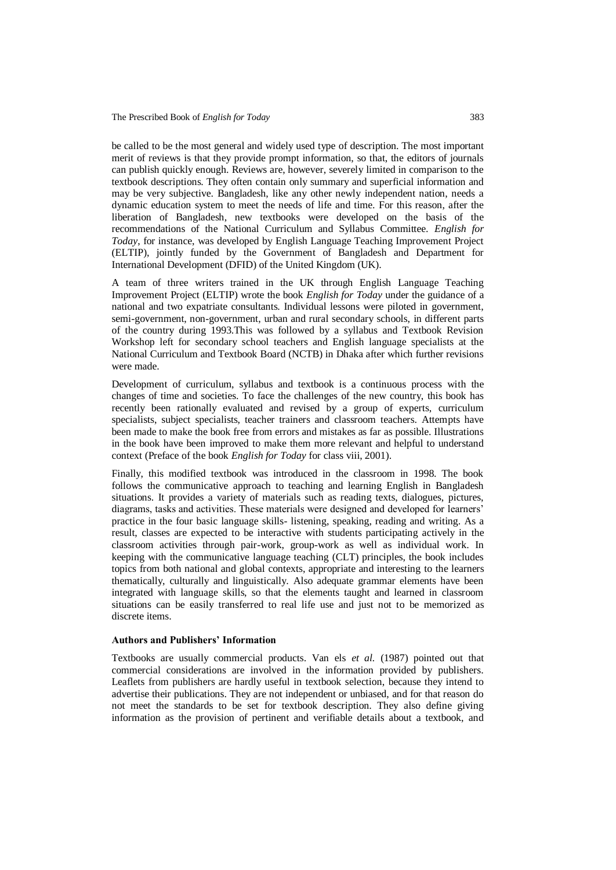be called to be the most general and widely used type of description. The most important merit of reviews is that they provide prompt information, so that, the editors of journals can publish quickly enough. Reviews are, however, severely limited in comparison to the textbook descriptions. They often contain only summary and superficial information and may be very subjective. Bangladesh, like any other newly independent nation, needs a dynamic education system to meet the needs of life and time. For this reason, after the liberation of Bangladesh, new textbooks were developed on the basis of the recommendations of the National Curriculum and Syllabus Committee. *English for Today*, for instance, was developed by English Language Teaching Improvement Project (ELTIP), jointly funded by the Government of Bangladesh and Department for International Development (DFID) of the United Kingdom (UK).

A team of three writers trained in the UK through English Language Teaching Improvement Project (ELTIP) wrote the book *English for Today* under the guidance of a national and two expatriate consultants. Individual lessons were piloted in government, semi-government, non-government, urban and rural secondary schools, in different parts of the country during 1993.This was followed by a syllabus and Textbook Revision Workshop left for secondary school teachers and English language specialists at the National Curriculum and Textbook Board (NCTB) in Dhaka after which further revisions were made.

Development of curriculum, syllabus and textbook is a continuous process with the changes of time and societies. To face the challenges of the new country, this book has recently been rationally evaluated and revised by a group of experts, curriculum specialists, subject specialists, teacher trainers and classroom teachers. Attempts have been made to make the book free from errors and mistakes as far as possible. Illustrations in the book have been improved to make them more relevant and helpful to understand context (Preface of the book *English for Today* for class viii, 2001).

Finally, this modified textbook was introduced in the classroom in 1998. The book follows the communicative approach to teaching and learning English in Bangladesh situations. It provides a variety of materials such as reading texts, dialogues, pictures, diagrams, tasks and activities. These materials were designed and developed for learners' practice in the four basic language skills- listening, speaking, reading and writing. As a result, classes are expected to be interactive with students participating actively in the classroom activities through pair-work, group-work as well as individual work. In keeping with the communicative language teaching (CLT) principles, the book includes topics from both national and global contexts, appropriate and interesting to the learners thematically, culturally and linguistically. Also adequate grammar elements have been integrated with language skills, so that the elements taught and learned in classroom situations can be easily transferred to real life use and just not to be memorized as discrete items.

#### **Authors and Publishers' Information**

Textbooks are usually commercial products. Van els *et al.* (1987) pointed out that commercial considerations are involved in the information provided by publishers. Leaflets from publishers are hardly useful in textbook selection, because they intend to advertise their publications. They are not independent or unbiased, and for that reason do not meet the standards to be set for textbook description. They also define giving information as the provision of pertinent and verifiable details about a textbook, and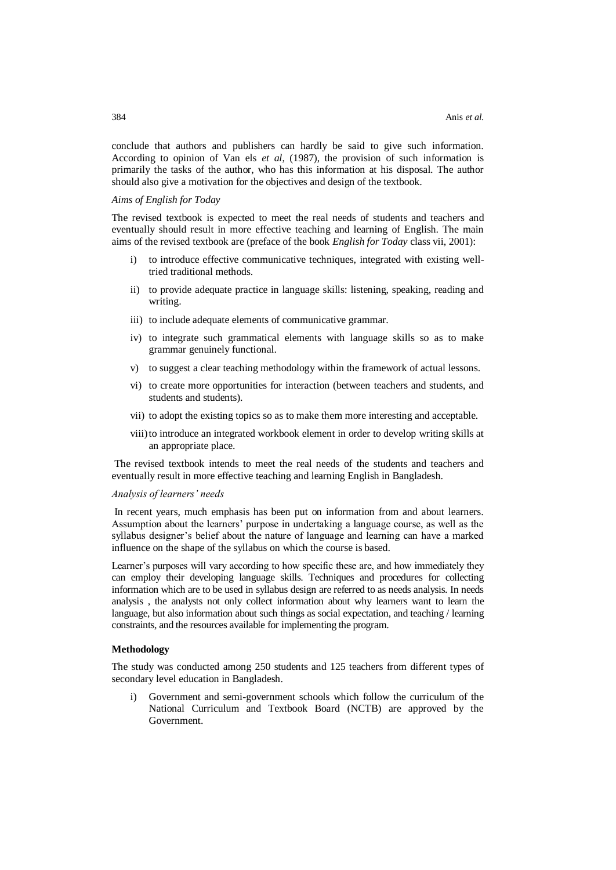conclude that authors and publishers can hardly be said to give such information. According to opinion of Van els *et al*, (1987), the provision of such information is primarily the tasks of the author, who has this information at his disposal. The author should also give a motivation for the objectives and design of the textbook.

## *Aims of English for Today*

The revised textbook is expected to meet the real needs of students and teachers and eventually should result in more effective teaching and learning of English. The main aims of the revised textbook are (preface of the book *English for Today* class vii, 2001):

- i) to introduce effective communicative techniques, integrated with existing welltried traditional methods.
- ii) to provide adequate practice in language skills: listening, speaking, reading and writing.
- iii) to include adequate elements of communicative grammar.
- iv) to integrate such grammatical elements with language skills so as to make grammar genuinely functional.
- v) to suggest a clear teaching methodology within the framework of actual lessons.
- vi) to create more opportunities for interaction (between teachers and students, and students and students).
- vii) to adopt the existing topics so as to make them more interesting and acceptable.
- viii)to introduce an integrated workbook element in order to develop writing skills at an appropriate place.

The revised textbook intends to meet the real needs of the students and teachers and eventually result in more effective teaching and learning English in Bangladesh.

#### *Analysis of learners' needs*

In recent years, much emphasis has been put on information from and about learners. Assumption about the learners' purpose in undertaking a language course, as well as the syllabus designer's belief about the nature of language and learning can have a marked influence on the shape of the syllabus on which the course is based.

Learner's purposes will vary according to how specific these are, and how immediately they can employ their developing language skills. Techniques and procedures for collecting information which are to be used in syllabus design are referred to as needs analysis. In needs analysis , the analysts not only collect information about why learners want to learn the language, but also information about such things as social expectation, and teaching / learning constraints, and the resources available for implementing the program.

## **Methodology**

The study was conducted among 250 students and 125 teachers from different types of secondary level education in Bangladesh.

i) Government and semi-government schools which follow the curriculum of the National Curriculum and Textbook Board (NCTB) are approved by the Government.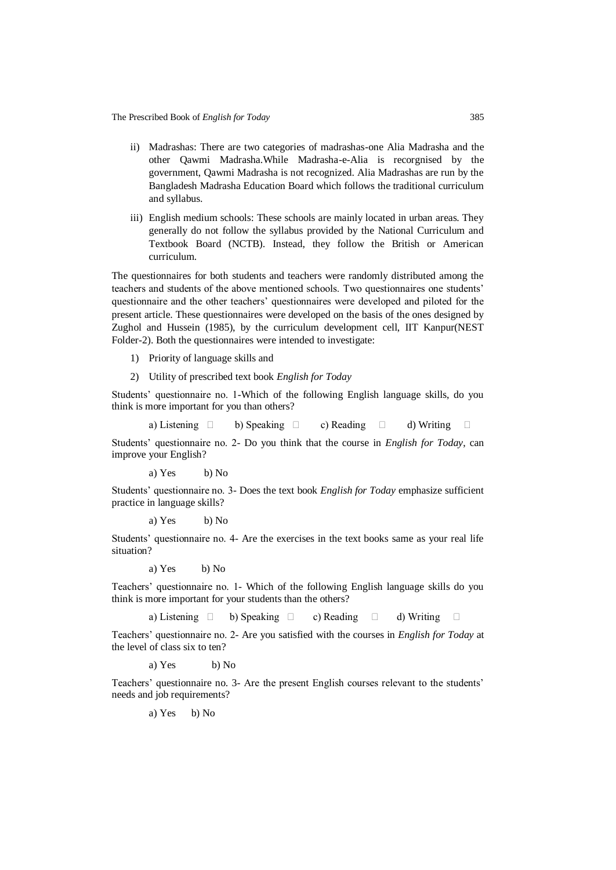- ii) Madrashas: There are two categories of madrashas-one Alia Madrasha and the other Qawmi Madrasha.While Madrasha-e-Alia is recorgnised by the government, Qawmi Madrasha is not recognized. Alia Madrashas are run by the Bangladesh Madrasha Education Board which follows the traditional curriculum and syllabus.
- iii) English medium schools: These schools are mainly located in urban areas. They generally do not follow the syllabus provided by the National Curriculum and Textbook Board (NCTB). Instead, they follow the British or American curriculum.

The questionnaires for both students and teachers were randomly distributed among the teachers and students of the above mentioned schools. Two questionnaires one students' questionnaire and the other teachers' questionnaires were developed and piloted for the present article. These questionnaires were developed on the basis of the ones designed by Zughol and Hussein (1985), by the curriculum development cell, IIT Kanpur(NEST Folder-2). Both the questionnaires were intended to investigate:

- 1) Priority of language skills and
- 2) Utility of prescribed text book *English for Today*

Students' questionnaire no. 1-Which of the following English language skills, do you think is more important for you than others?

a) Listening  $\Box$  b) Speaking  $\Box$  c) Reading  $\Box$  d) Writing  $\Box$ 

Students' questionnaire no. 2- Do you think that the course in *English for Today*, can improve your English?

a) Yes b) No

Students' questionnaire no. 3- Does the text book *English for Today* emphasize sufficient practice in language skills?

a) Yes b) No

Students' questionnaire no. 4- Are the exercises in the text books same as your real life situation?

a) Yes b) No

Teachers' questionnaire no. 1- Which of the following English language skills do you think is more important for your students than the others?

a) Listening  $\Box$  b) Speaking  $\Box$  c) Reading  $\Box$  d) Writing  $\Box$ 

Teachers' questionnaire no. 2- Are you satisfied with the courses in *English for Today* at the level of class six to ten?

a) Yes b) No

Teachers' questionnaire no. 3- Are the present English courses relevant to the students' needs and job requirements?

a) Yes b) No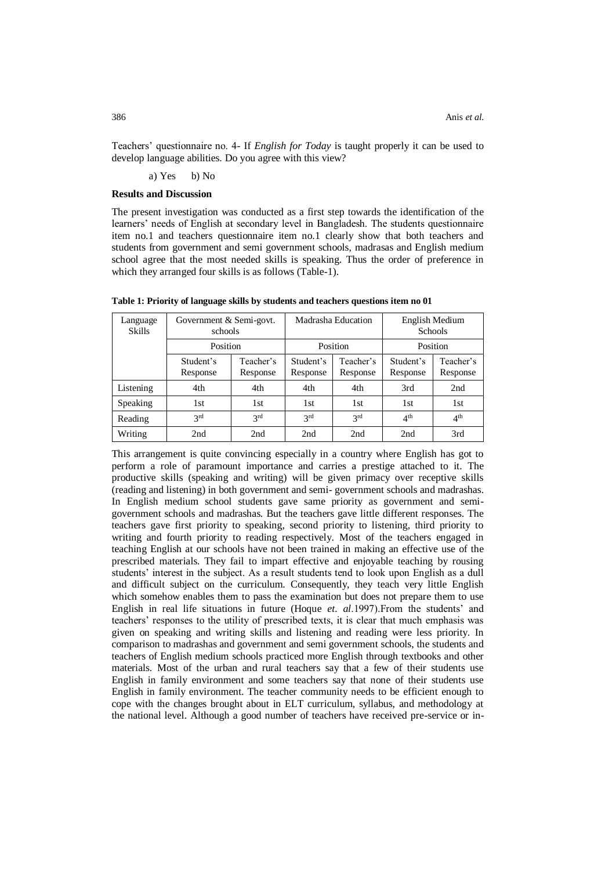Teachers' questionnaire no. 4- If *English for Today* is taught properly it can be used to develop language abilities. Do you agree with this view?

#### a) Yes b) No

#### **Results and Discussion**

The present investigation was conducted as a first step towards the identification of the learners' needs of English at secondary level in Bangladesh. The students questionnaire item no.1 and teachers questionnaire item no.1 clearly show that both teachers and students from government and semi government schools, madrasas and English medium school agree that the most needed skills is speaking. Thus the order of preference in which they arranged four skills is as follows (Table-1).

| Language<br><b>Skills</b> | Government & Semi-govt.<br>schools |                       | Madrasha Education    |                       | English Medium<br>Schools |                       |
|---------------------------|------------------------------------|-----------------------|-----------------------|-----------------------|---------------------------|-----------------------|
|                           | Position                           |                       | Position              |                       | Position                  |                       |
|                           | Student's<br>Response              | Teacher's<br>Response | Student's<br>Response | Teacher's<br>Response | Student's<br>Response     | Teacher's<br>Response |
| Listening                 | 4th                                | 4th                   | 4th                   | 4th                   | 3rd                       | 2nd                   |
| Speaking                  | 1st                                | 1st                   | 1st                   | 1st                   | 1st                       | 1st                   |
| Reading                   | 2rd                                | 2rd                   | 2rd                   | 2rd                   | 4 <sup>th</sup>           | 4 <sup>th</sup>       |
| Writing                   | 2nd                                | 2nd                   | 2nd                   | 2nd                   | 2nd                       | 3rd                   |

**Table 1: Priority of language skills by students and teachers questions item no 01**

This arrangement is quite convincing especially in a country where English has got to perform a role of paramount importance and carries a prestige attached to it. The productive skills (speaking and writing) will be given primacy over receptive skills (reading and listening) in both government and semi- government schools and madrashas. In English medium school students gave same priority as government and semigovernment schools and madrashas. But the teachers gave little different responses. The teachers gave first priority to speaking, second priority to listening, third priority to writing and fourth priority to reading respectively. Most of the teachers engaged in teaching English at our schools have not been trained in making an effective use of the prescribed materials. They fail to impart effective and enjoyable teaching by rousing students' interest in the subject. As a result students tend to look upon English as a dull and difficult subject on the curriculum. Consequently, they teach very little English which somehow enables them to pass the examination but does not prepare them to use English in real life situations in future (Hoque *et. al*.1997).From the students' and teachers' responses to the utility of prescribed texts, it is clear that much emphasis was given on speaking and writing skills and listening and reading were less priority. In comparison to madrashas and government and semi government schools, the students and teachers of English medium schools practiced more English through textbooks and other materials. Most of the urban and rural teachers say that a few of their students use English in family environment and some teachers say that none of their students use English in family environment. The teacher community needs to be efficient enough to cope with the changes brought about in ELT curriculum, syllabus, and methodology at the national level. Although a good number of teachers have received pre-service or in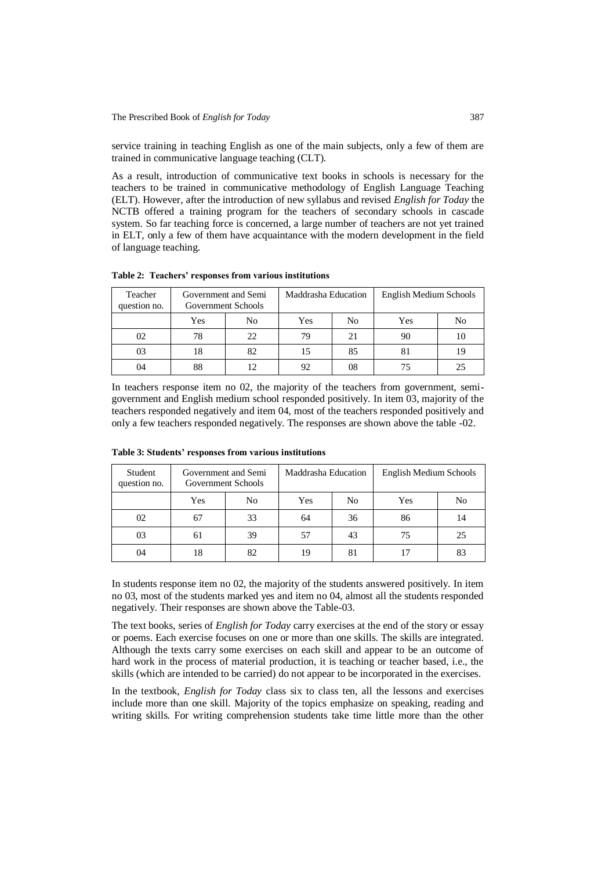service training in teaching English as one of the main subjects, only a few of them are trained in communicative language teaching (CLT).

As a result, introduction of communicative text books in schools is necessary for the teachers to be trained in communicative methodology of English Language Teaching (ELT). However, after the introduction of new syllabus and revised *English for Today* the NCTB offered a training program for the teachers of secondary schools in cascade system. So far teaching force is concerned, a large number of teachers are not yet trained in ELT, only a few of them have acquaintance with the modern development in the field of language teaching.

| Teacher<br>question no. | Government and Semi<br>Government Schools |    | Maddrasha Education |    | English Medium Schools |    |
|-------------------------|-------------------------------------------|----|---------------------|----|------------------------|----|
|                         | Yes                                       | No | Yes                 | No | Yes                    | No |
| 02                      | 78                                        | 22 | 79                  | 21 | 90                     |    |
| 03                      | 18                                        | 82 | 15                  | 85 | 81                     | 19 |
| 04                      | 88                                        |    | 92                  | 08 |                        |    |

**Table 2: Teachers' responses from various institutions**

In teachers response item no 02, the majority of the teachers from government, semigovernment and English medium school responded positively. In item 03, majority of the teachers responded negatively and item 04, most of the teachers responded positively and only a few teachers responded negatively. The responses are shown above the table -02.

| Student<br>question no. | Government and Semi<br>Government Schools |                | Maddrasha Education |    | English Medium Schools |                |
|-------------------------|-------------------------------------------|----------------|---------------------|----|------------------------|----------------|
|                         | Yes                                       | N <sub>0</sub> | Yes                 | No | Yes                    | N <sub>o</sub> |
| 02                      | 67                                        | 33             | 64                  | 36 | 86                     | 14             |
| 03                      | 61                                        | 39             | 57                  | 43 | 75                     | 25             |
| 04                      | 18                                        | 82             | 19                  | 81 |                        | 83             |

**Table 3: Students' responses from various institutions**

In students response item no 02, the majority of the students answered positively. In item no 03, most of the students marked yes and item no 04, almost all the students responded negatively. Their responses are shown above the Table-03.

The text books, series of *English for Today* carry exercises at the end of the story or essay or poems. Each exercise focuses on one or more than one skills. The skills are integrated. Although the texts carry some exercises on each skill and appear to be an outcome of hard work in the process of material production, it is teaching or teacher based, i.e., the skills (which are intended to be carried) do not appear to be incorporated in the exercises.

In the textbook, *English for Today* class six to class ten, all the lessons and exercises include more than one skill. Majority of the topics emphasize on speaking, reading and writing skills. For writing comprehension students take time little more than the other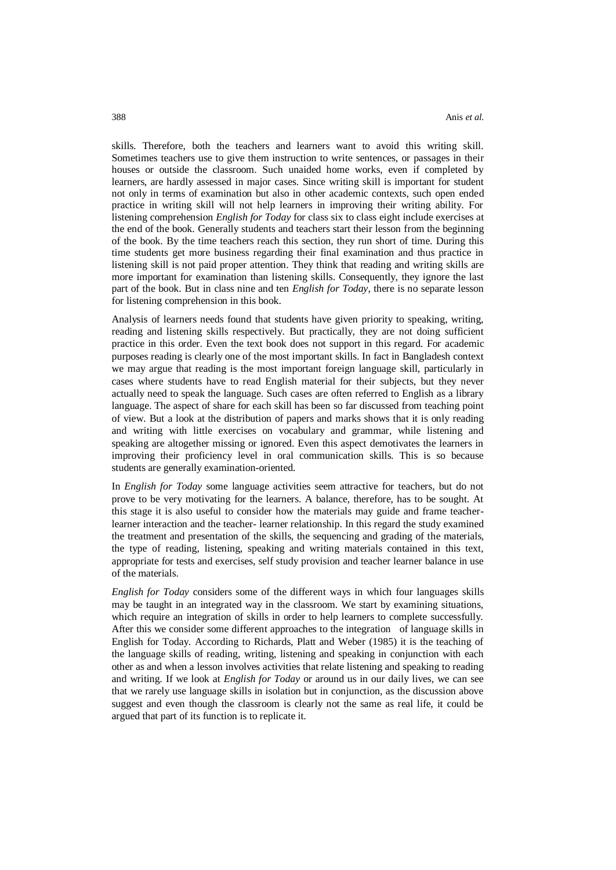skills. Therefore, both the teachers and learners want to avoid this writing skill. Sometimes teachers use to give them instruction to write sentences, or passages in their houses or outside the classroom. Such unaided home works, even if completed by learners, are hardly assessed in major cases. Since writing skill is important for student not only in terms of examination but also in other academic contexts, such open ended practice in writing skill will not help learners in improving their writing ability. For listening comprehension *English for Today* for class six to class eight include exercises at the end of the book. Generally students and teachers start their lesson from the beginning of the book. By the time teachers reach this section, they run short of time. During this time students get more business regarding their final examination and thus practice in listening skill is not paid proper attention. They think that reading and writing skills are more important for examination than listening skills. Consequently, they ignore the last part of the book. But in class nine and ten *English for Today*, there is no separate lesson for listening comprehension in this book.

Analysis of learners needs found that students have given priority to speaking, writing, reading and listening skills respectively. But practically, they are not doing sufficient practice in this order. Even the text book does not support in this regard. For academic purposes reading is clearly one of the most important skills. In fact in Bangladesh context we may argue that reading is the most important foreign language skill, particularly in cases where students have to read English material for their subjects, but they never actually need to speak the language. Such cases are often referred to English as a library language. The aspect of share for each skill has been so far discussed from teaching point of view. But a look at the distribution of papers and marks shows that it is only reading and writing with little exercises on vocabulary and grammar, while listening and speaking are altogether missing or ignored. Even this aspect demotivates the learners in improving their proficiency level in oral communication skills. This is so because students are generally examination-oriented.

In *English for Today* some language activities seem attractive for teachers, but do not prove to be very motivating for the learners. A balance, therefore, has to be sought. At this stage it is also useful to consider how the materials may guide and frame teacherlearner interaction and the teacher- learner relationship. In this regard the study examined the treatment and presentation of the skills, the sequencing and grading of the materials, the type of reading, listening, speaking and writing materials contained in this text, appropriate for tests and exercises, self study provision and teacher learner balance in use of the materials.

*English for Today* considers some of the different ways in which four languages skills may be taught in an integrated way in the classroom. We start by examining situations, which require an integration of skills in order to help learners to complete successfully. After this we consider some different approaches to the integration of language skills in English for Today. According to Richards, Platt and Weber (1985) it is the teaching of the language skills of reading, writing, listening and speaking in conjunction with each other as and when a lesson involves activities that relate listening and speaking to reading and writing. If we look at *English for Today* or around us in our daily lives, we can see that we rarely use language skills in isolation but in conjunction, as the discussion above suggest and even though the classroom is clearly not the same as real life, it could be argued that part of its function is to replicate it.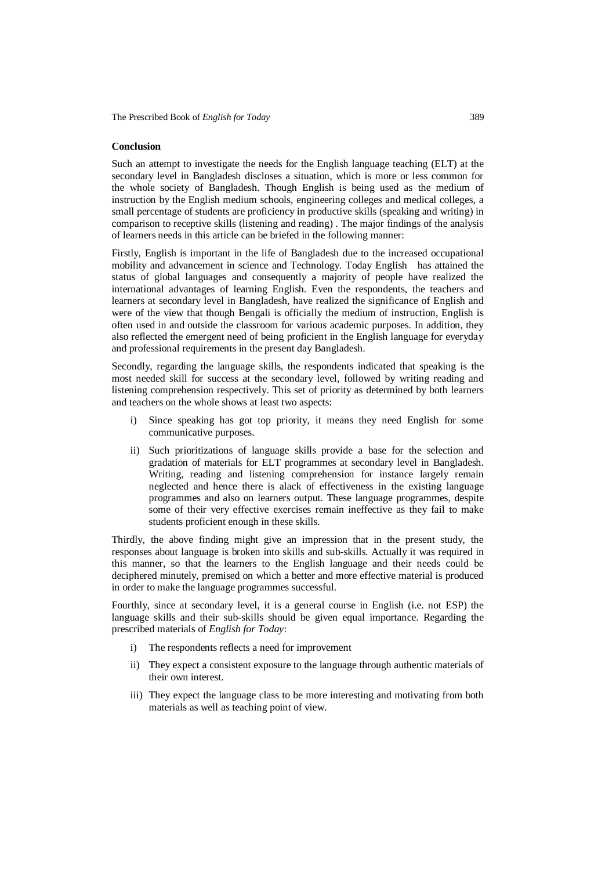## **Conclusion**

Such an attempt to investigate the needs for the English language teaching (ELT) at the secondary level in Bangladesh discloses a situation, which is more or less common for the whole society of Bangladesh. Though English is being used as the medium of instruction by the English medium schools, engineering colleges and medical colleges, a small percentage of students are proficiency in productive skills (speaking and writing) in comparison to receptive skills (listening and reading) . The major findings of the analysis of learners needs in this article can be briefed in the following manner:

Firstly, English is important in the life of Bangladesh due to the increased occupational mobility and advancement in science and Technology. Today English has attained the status of global languages and consequently a majority of people have realized the international advantages of learning English. Even the respondents, the teachers and learners at secondary level in Bangladesh, have realized the significance of English and were of the view that though Bengali is officially the medium of instruction, English is often used in and outside the classroom for various academic purposes. In addition, they also reflected the emergent need of being proficient in the English language for everyday and professional requirements in the present day Bangladesh.

Secondly, regarding the language skills, the respondents indicated that speaking is the most needed skill for success at the secondary level, followed by writing reading and listening comprehension respectively. This set of priority as determined by both learners and teachers on the whole shows at least two aspects:

- Since speaking has got top priority, it means they need English for some communicative purposes.
- ii) Such prioritizations of language skills provide a base for the selection and gradation of materials for ELT programmes at secondary level in Bangladesh. Writing, reading and listening comprehension for instance largely remain neglected and hence there is alack of effectiveness in the existing language programmes and also on learners output. These language programmes, despite some of their very effective exercises remain ineffective as they fail to make students proficient enough in these skills.

Thirdly, the above finding might give an impression that in the present study, the responses about language is broken into skills and sub-skills. Actually it was required in this manner, so that the learners to the English language and their needs could be deciphered minutely, premised on which a better and more effective material is produced in order to make the language programmes successful.

Fourthly, since at secondary level, it is a general course in English (i.e. not ESP) the language skills and their sub-skills should be given equal importance. Regarding the prescribed materials of *English for Today*:

- i) The respondents reflects a need for improvement
- ii) They expect a consistent exposure to the language through authentic materials of their own interest.
- iii) They expect the language class to be more interesting and motivating from both materials as well as teaching point of view.